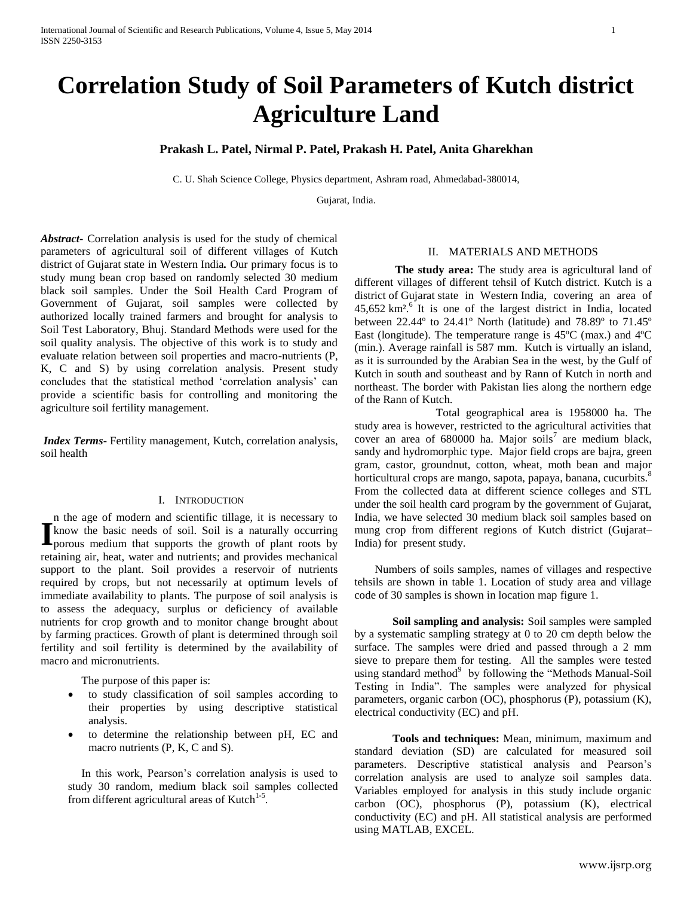# **Correlation Study of Soil Parameters of Kutch district Agriculture Land**

# **Prakash L. Patel, Nirmal P. Patel, Prakash H. Patel, Anita Gharekhan**

C. U. Shah Science College, Physics department, Ashram road, Ahmedabad-380014,

Gujarat, India.

*Abstract***-** Correlation analysis is used for the study of chemical parameters of agricultural soil of different villages of Kutch district of [Gujarat](http://en.wikipedia.org/wiki/Gujarat) state in Western [India](http://en.wikipedia.org/wiki/India)*.* Our primary focus is to study mung bean crop based on randomly selected 30 medium black soil samples. Under the Soil Health Card Program of Government of Gujarat, soil samples were collected by authorized locally trained farmers and brought for analysis to Soil Test Laboratory, Bhuj. Standard Methods were used for the soil quality analysis. The objective of this work is to study and evaluate relation between soil properties and macro-nutrients (P, K, C and S) by using *c*orrelation analysis. Present study concludes that the statistical method 'correlation analysis' can provide a scientific basis for controlling and monitoring the agriculture soil fertility management.

*Index Terms***-** Fertility management, Kutch, correlation analysis, soil health

## I. INTRODUCTION

n the age of modern and scientific tillage, it is necessary to know the basic needs of soil. Soil is a naturally occurring **I** like age of modern and setcheme tinage, it is necessary to know the basic needs of soil. Soil is a naturally occurring porous medium that supports the growth of plant roots by retaining air, heat, water and nutrients; and provides mechanical support to the plant. Soil provides a reservoir of nutrients required by crops, but not necessarily at optimum levels of immediate availability to plants. The purpose of soil analysis is to assess the adequacy, surplus or deficiency of available nutrients for crop growth and to monitor change brought about by farming practices. Growth of plant is determined through soil fertility and soil fertility is determined by the availability of macro and micronutrients.

The purpose of this paper is:

- to study classification of soil samples according to their properties by using descriptive statistical analysis.
- to determine the relationship between pH, EC and macro nutrients (P, K, C and S).

In this work, Pearson's correlation analysis is used to study 30 random, medium black soil samples collected from different agricultural areas of Kutch $1-5$ .

#### II. MATERIALS AND METHODS

**The study area:** The study area is agricultural land of different villages of different tehsil of Kutch district. Kutch is a [district](http://en.wikipedia.org/wiki/District) of [Gujarat](http://en.wikipedia.org/wiki/Gujarat) state in Western [India,](http://en.wikipedia.org/wiki/India) covering an area of  $45,652 \text{ km}^2$ [.](http://en.wikipedia.org/wiki/Kutch_District#cite_note-1)<sup>6</sup> It is one of the largest district in India, located between 22.44º to 24.41º North (latitude) and 78.89º to 71.45º East (longitude). The temperature range is 45ºC (max.) and 4ºC (min.). Average rainfall is 587 mm. Kutch is virtually an island, as it is surrounded by the [Arabian Sea](http://en.wikipedia.org/wiki/Arabian_Sea) in the west, by the [Gulf of](http://en.wikipedia.org/wiki/Gulf_of_Kutch)  [Kutch](http://en.wikipedia.org/wiki/Gulf_of_Kutch) in south and southeast and by [Rann of Kutch](http://en.wikipedia.org/wiki/Rann_of_Kutch) in north and northeast. The border with Pakistan lies along the northern edge of the Rann of Kutch.

Total geographical area is 1958000 ha. The study area is however, restricted to the agricultural activities that cover an area of  $680000$  ha. Major soils<sup>7</sup> are medium black, sandy and hydromorphic type. Major field crops are bajra, green gram, castor, groundnut, cotton, wheat, moth bean and major horticultural crops are mango, sapota, papaya, banana, cucurbits.<sup>8</sup> From the collected data at different science colleges and STL under the soil health card program by the government of Gujarat, India, we have selected 30 medium black soil samples based on mung crop from different regions of Kutch district (Gujarat– India) for present study.

Numbers of soils samples, names of villages and respective tehsils are shown in table 1. Location of study area and village code of 30 samples is shown in location map figure 1.

**Soil sampling and analysis:** Soil samples were sampled by a systematic sampling strategy at 0 to 20 cm depth below the surface. The samples were dried and passed through a 2 mm sieve to prepare them for testing. All the samples were tested using standard method<sup>9</sup> by following the "Methods Manual-Soil Testing in India". The samples were analyzed for physical parameters, organic carbon (OC), phosphorus (P), potassium (K), electrical conductivity (EC) and pH.

**Tools and techniques:** Mean, minimum, maximum and standard deviation (SD) are calculated for measured soil parameters. Descriptive statistical analysis and Pearson's correlation analysis are used to analyze soil samples data. Variables employed for analysis in this study include organic carbon (OC), phosphorus (P), potassium (K), electrical conductivity (EC) and pH. All statistical analysis are performed using MATLAB, EXCEL.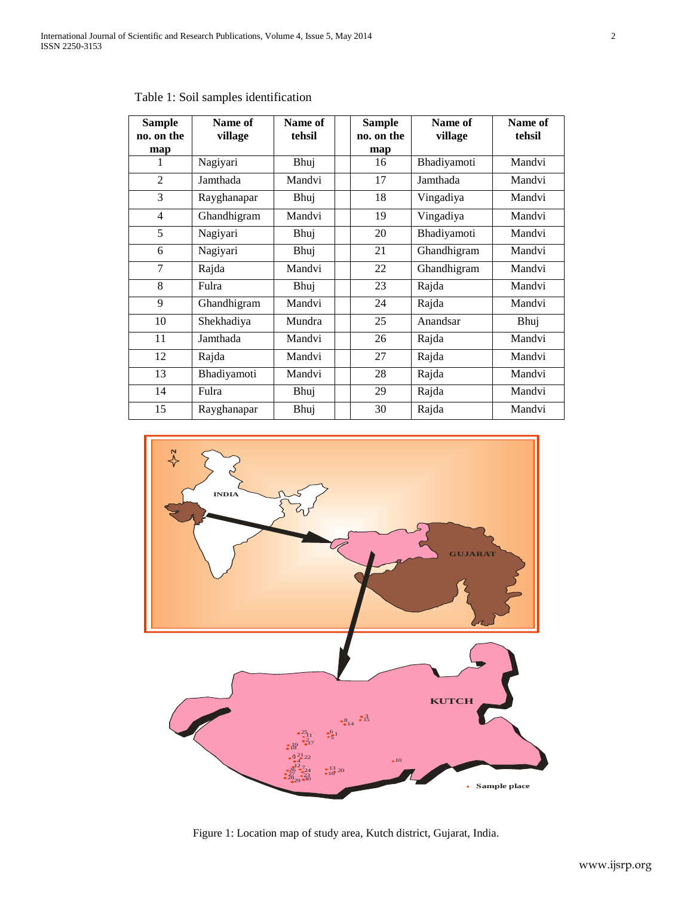| <b>Sample</b><br>no. on the | Name of<br>village | Name of<br>tehsil | <b>Sample</b><br>no. on the | Name of<br>village | Name of<br>tehsil |
|-----------------------------|--------------------|-------------------|-----------------------------|--------------------|-------------------|
| map<br>1                    | Nagiyari           | Bhuj              | map<br>16                   | Bhadiyamoti        | Mandvi            |
|                             |                    |                   |                             |                    |                   |
| $\overline{2}$              | Jamthada           | Mandvi            | 17                          | Jamthada           | Mandvi            |
| 3                           | Rayghanapar        | Bhuj              | 18                          | Vingadiya          | Mandvi            |
| $\overline{4}$              | Ghandhigram        | Mandvi            | 19                          | Vingadiya          | Mandvi            |
| 5                           | Nagiyari           | Bhuj              | 20                          | Bhadiyamoti        | Mandvi            |
| 6                           | Nagiyari           | Bhuj              | 21                          | Ghandhigram        | Mandvi            |
| $\overline{7}$              | Rajda              | Mandvi            | 22                          | Ghandhigram        | Mandvi            |
| 8                           | Fulra              | Bhuj              | 23                          | Rajda              | Mandvi            |
| 9                           | Ghandhigram        | Mandvi            | 24                          | Rajda              | Mandvi            |
| 10                          | Shekhadiya         | Mundra            | 25                          | Anandsar           | Bhuj              |
| 11                          | Jamthada           | Mandvi            | 26                          | Rajda              | Mandvi            |
| 12                          | Rajda              | Mandvi            | 27                          | Rajda              | Mandvi            |
| 13                          | Bhadiyamoti        | Mandvi            | 28                          | Rajda              | Mandvi            |
| 14                          | Fulra              | Bhuj              | 29                          | Rajda              | Mandvi            |
| 15                          | Rayghanapar        | Bhuj              | 30                          | Rajda              | Mandvi            |

Table 1: Soil samples identification



Figure 1: Location map of study area, Kutch district, Gujarat, India.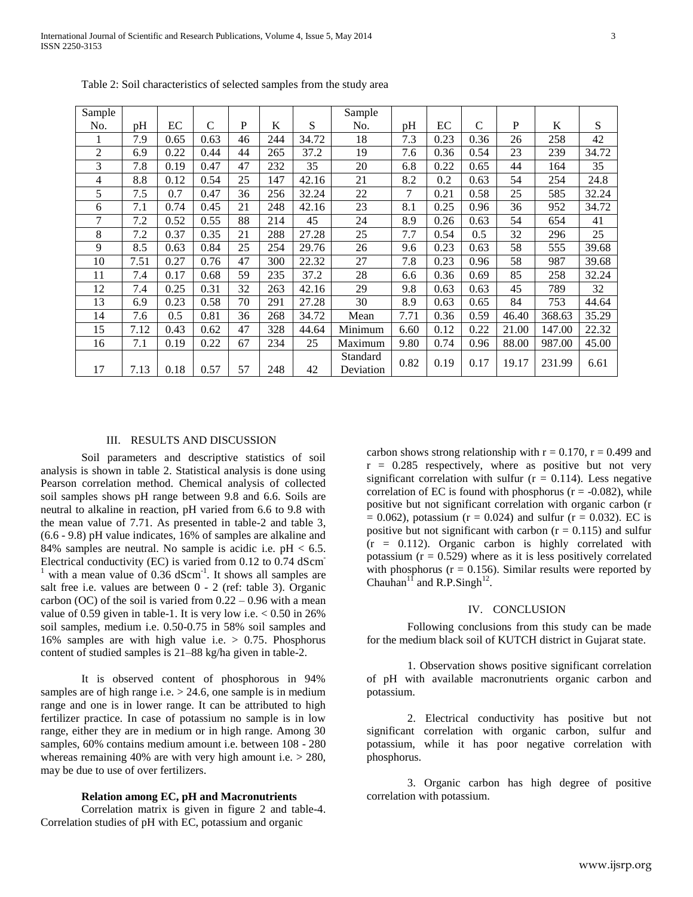International Journal of Scientific and Research Publications, Volume 4, Issue 5, May 2014 3 ISSN 2250-3153

| Sample |      |      |      |    |     |       | Sample                |      |      |               |       |        |       |
|--------|------|------|------|----|-----|-------|-----------------------|------|------|---------------|-------|--------|-------|
| No.    | pH   | EC   | C    | P  | K   | S     | No.                   | pH   | ЕC   | $\mathcal{C}$ | P     | K      | S     |
|        | 7.9  | 0.65 | 0.63 | 46 | 244 | 34.72 | 18                    | 7.3  | 0.23 | 0.36          | 26    | 258    | 42    |
| 2      | 6.9  | 0.22 | 0.44 | 44 | 265 | 37.2  | 19                    | 7.6  | 0.36 | 0.54          | 23    | 239    | 34.72 |
| 3      | 7.8  | 0.19 | 0.47 | 47 | 232 | 35    | 20                    | 6.8  | 0.22 | 0.65          | 44    | 164    | 35    |
| 4      | 8.8  | 0.12 | 0.54 | 25 | 147 | 42.16 | 21                    | 8.2  | 0.2  | 0.63          | 54    | 254    | 24.8  |
| 5      | 7.5  | 0.7  | 0.47 | 36 | 256 | 32.24 | 22                    | 7    | 0.21 | 0.58          | 25    | 585    | 32.24 |
| 6      | 7.1  | 0.74 | 0.45 | 21 | 248 | 42.16 | 23                    | 8.1  | 0.25 | 0.96          | 36    | 952    | 34.72 |
| 7      | 7.2  | 0.52 | 0.55 | 88 | 214 | 45    | 24                    | 8.9  | 0.26 | 0.63          | 54    | 654    | 41    |
| 8      | 7.2  | 0.37 | 0.35 | 21 | 288 | 27.28 | 25                    | 7.7  | 0.54 | 0.5           | 32    | 296    | 25    |
| 9      | 8.5  | 0.63 | 0.84 | 25 | 254 | 29.76 | 26                    | 9.6  | 0.23 | 0.63          | 58    | 555    | 39.68 |
| 10     | 7.51 | 0.27 | 0.76 | 47 | 300 | 22.32 | 27                    | 7.8  | 0.23 | 0.96          | 58    | 987    | 39.68 |
| 11     | 7.4  | 0.17 | 0.68 | 59 | 235 | 37.2  | 28                    | 6.6  | 0.36 | 0.69          | 85    | 258    | 32.24 |
| 12     | 7.4  | 0.25 | 0.31 | 32 | 263 | 42.16 | 29                    | 9.8  | 0.63 | 0.63          | 45    | 789    | 32    |
| 13     | 6.9  | 0.23 | 0.58 | 70 | 291 | 27.28 | 30                    | 8.9  | 0.63 | 0.65          | 84    | 753    | 44.64 |
| 14     | 7.6  | 0.5  | 0.81 | 36 | 268 | 34.72 | Mean                  | 7.71 | 0.36 | 0.59          | 46.40 | 368.63 | 35.29 |
| 15     | 7.12 | 0.43 | 0.62 | 47 | 328 | 44.64 | Minimum               | 6.60 | 0.12 | 0.22          | 21.00 | 147.00 | 22.32 |
| 16     | 7.1  | 0.19 | 0.22 | 67 | 234 | 25    | Maximum               | 9.80 | 0.74 | 0.96          | 88.00 | 987.00 | 45.00 |
| 17     | 7.13 | 0.18 | 0.57 | 57 | 248 | 42    | Standard<br>Deviation | 0.82 | 0.19 | 0.17          | 19.17 | 231.99 | 6.61  |

Table 2: Soil characteristics of selected samples from the study area

## III. RESULTS AND DISCUSSION

 Soil parameters and descriptive statistics of soil analysis is shown in table 2. Statistical analysis is done using Pearson correlation method. Chemical analysis of collected soil samples shows pH range between 9.8 and 6.6. Soils are neutral to alkaline in reaction, pH varied from 6.6 to 9.8 with the mean value of 7.71. As presented in table-2 and table 3, (6.6 - 9.8) pH value indicates, 16% of samples are alkaline and 84% samples are neutral. No sample is acidic i.e.  $pH < 6.5$ . Electrical conductivity (EC) is varied from  $0.12$  to  $0.74$  dScm <sup>1</sup> with a mean value of 0.36  $dScm^{-1}$ . It shows all samples are salt free i.e. values are between 0 - 2 (ref: table 3). Organic carbon (OC) of the soil is varied from  $0.22 - 0.96$  with a mean value of 0.59 given in table-1. It is very low i.e.  $< 0.50$  in 26% soil samples, medium i.e. 0.50-0.75 in 58% soil samples and 16% samples are with high value i.e. > 0.75. Phosphorus content of studied samples is 21–88 kg/ha given in table-2.

It is observed content of phosphorous in 94% samples are of high range i.e.  $> 24.6$ , one sample is in medium range and one is in lower range. It can be attributed to high fertilizer practice. In case of potassium no sample is in low range, either they are in medium or in high range. Among 30 samples, 60% contains medium amount i.e. between 108 - 280 whereas remaining 40% are with very high amount i.e.  $> 280$ , may be due to use of over fertilizers.

## **Relation among EC, pH and Macronutrients**

Correlation matrix is given in figure 2 and table-4. Correlation studies of pH with EC, potassium and organic

carbon shows strong relationship with  $r = 0.170$ ,  $r = 0.499$  and  $r = 0.285$  respectively, where as positive but not very significant correlation with sulfur  $(r = 0.114)$ . Less negative correlation of EC is found with phosphorus ( $r = -0.082$ ), while positive but not significant correlation with organic carbon (r  $= 0.062$ ), potassium (r = 0.024) and sulfur (r = 0.032). EC is positive but not significant with carbon  $(r = 0.115)$  and sulfur  $(r = 0.112)$ . Organic carbon is highly correlated with potassium  $(r = 0.529)$  where as it is less positively correlated with phosphorus ( $r = 0.156$ ). Similar results were reported by Chauhan<sup>11</sup> and R.P.Singh<sup>12</sup>.

# IV. CONCLUSION

 Following conclusions from this study can be made for the medium black soil of KUTCH district in Gujarat state.

 1. Observation shows positive significant correlation of pH with available macronutrients organic carbon and potassium.

2. Electrical conductivity has positive but not significant correlation with organic carbon, sulfur and potassium, while it has poor negative correlation with phosphorus.

3. Organic carbon has high degree of positive correlation with potassium.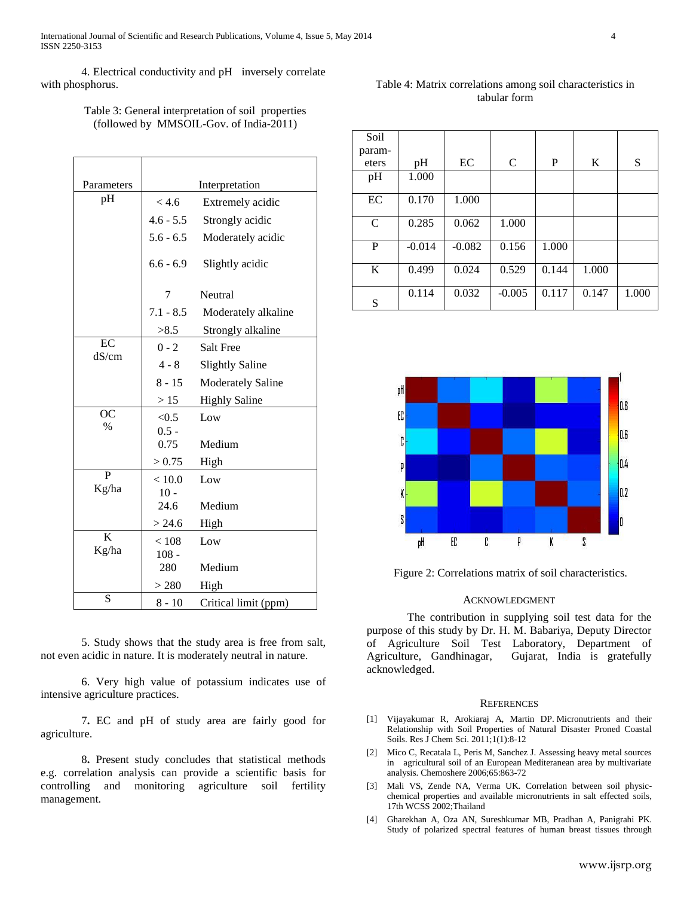International Journal of Scientific and Research Publications, Volume 4, Issue 5, May 2014 4 ISSN 2250-3153

4. Electrical conductivity and pH inversely correlate with phosphorus.

## Table 4: Matrix correlations among soil characteristics in tabular form

| Table 3: General interpretation of soil properties |  |
|----------------------------------------------------|--|
| (followed by MMSOIL-Gov. of India-2011)            |  |

| Parameters     | Interpretation |                          |  |  |  |
|----------------|----------------|--------------------------|--|--|--|
| pH             | < 4.6          | Extremely acidic         |  |  |  |
|                | $4.6 - 5.5$    | Strongly acidic          |  |  |  |
|                | $5.6 - 6.5$    | Moderately acidic        |  |  |  |
|                | $6.6 - 6.9$    | Slightly acidic          |  |  |  |
|                | 7              | Neutral                  |  |  |  |
|                | $7.1 - 8.5$    | Moderately alkaline      |  |  |  |
|                | >8.5           | Strongly alkaline        |  |  |  |
| EC             | $0 - 2$        | Salt Free                |  |  |  |
| dS/cm          | $4 - 8$        | <b>Slightly Saline</b>   |  |  |  |
|                | $8 - 15$       | <b>Moderately Saline</b> |  |  |  |
|                | >15            | <b>Highly Saline</b>     |  |  |  |
| <b>OC</b>      | < 0.5          | Low                      |  |  |  |
| $\frac{0}{0}$  | $0.5 -$        |                          |  |  |  |
|                | 0.75           | Medium                   |  |  |  |
|                | > 0.75         | High                     |  |  |  |
| $\overline{P}$ | < 10.0         | Low                      |  |  |  |
| Kg/ha          | $10 -$         |                          |  |  |  |
|                | 24.6           | Medium                   |  |  |  |
|                | > 24.6         | High                     |  |  |  |
| $\mathbf K$    | < 108          | Low                      |  |  |  |
| Kg/ha          | $108 -$        |                          |  |  |  |
|                | 280            | Medium                   |  |  |  |
|                | > 280          | High                     |  |  |  |
| S              | $8 - 10$       | Critical limit (ppm)     |  |  |  |

5. Study shows that the study area is free from salt, not even acidic in nature. It is moderately neutral in nature.

6. Very high value of potassium indicates use of intensive agriculture practices.

7**.** EC and pH of study area are fairly good for agriculture.

8**.** Present study concludes that statistical methods e.g. correlation analysis can provide a scientific basis for controlling and monitoring agriculture soil fertility management.

| Soil   |          |          |               |       |       |       |
|--------|----------|----------|---------------|-------|-------|-------|
| param- |          |          |               |       |       |       |
| eters  | pH       | EC       | $\mathcal{C}$ | P     | K     | S     |
| pH     | 1.000    |          |               |       |       |       |
| EC     | 0.170    | 1.000    |               |       |       |       |
| C      | 0.285    | 0.062    | 1.000         |       |       |       |
| P      | $-0.014$ | $-0.082$ | 0.156         | 1.000 |       |       |
| K      | 0.499    | 0.024    | 0.529         | 0.144 | 1.000 |       |
| S      | 0.114    | 0.032    | $-0.005$      | 0.117 | 0.147 | 1.000 |



Figure 2: Correlations matrix of soil characteristics.

## ACKNOWLEDGMENT

The contribution in supplying soil test data for the purpose of this study by Dr. H. M. Babariya, Deputy Director of Agriculture Soil Test Laboratory, Department of Agriculture, Gandhinagar, Gujarat, India is gratefully acknowledged.

## **REFERENCES**

- [1] Vijayakumar R, Arokiaraj A, Martin DP. [Micronutrients and their](http://www.isca.in/rjcse/Archives/vol1/3.pdf)  [Relationship with Soil Properties of Natural Disaster Proned Coastal](http://www.isca.in/rjcse/Archives/vol1/3.pdf)  [Soils.](http://www.isca.in/rjcse/Archives/vol1/3.pdf) Res J Chem Sci. 2011;1(1):8-12
- [2] Mico C, Recatala L, Peris M, Sanchez J. Assessing heavy metal sources in agricultural soil of an European Mediteranean area by multivariate analysis. Chemoshere 2006;65:863-72
- [3] Mali VS, Zende NA, Verma UK. Correlation between soil physicchemical properties and available micronutrients in salt effected soils, 17th WCSS 2002;Thailand
- [4] Gharekhan A, Oza AN, Sureshkumar MB, Pradhan A, Panigrahi PK. Study of polarized spectral features of human breast tissues through